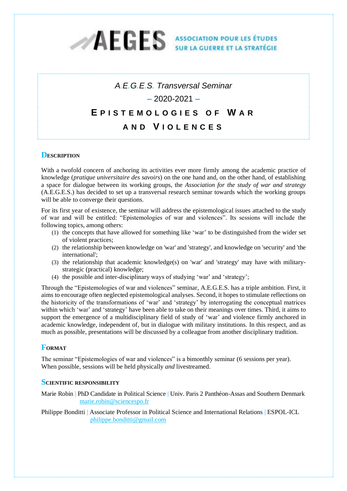# AEGES ASSOCIATION POUR LES ÉTUDES D

## *A.E.G.E.S. Transversal Seminar* **–** 2020-2021 **– E P I S T E M O L O G I E S O F W AR AND V I O L E N C E S**

## **DESCRIPTION**

With a twofold concern of anchoring its activities ever more firmly among the academic practice of knowledge (*pratique universitaire des savoirs*) on the one hand and, on the other hand, of establishing a space for dialogue between its working groups, the *Association for the study of war and strategy* (A.E.G.E.S.) has decided to set up a transversal research seminar towards which the working groups will be able to converge their questions.

For its first year of existence, the seminar will address the epistemological issues attached to the study of war and will be entitled: "Epistemologies of war and violences". Its sessions will include the following topics, among others:

- (1) the concepts that have allowed for something like 'war' to be distinguished from the wider set of violent practices;
- (2) the relationship between knowledge on 'war' and 'strategy', and knowledge on 'security' and 'the international';
- (3) the relationship that academic knowledge(s) on 'war' and 'strategy' may have with militarystrategic (practical) knowledge;
- (4) the possible and inter-disciplinary ways of studying 'war' and 'strategy';

Through the "Epistemologies of war and violences" seminar, A.E.G.E.S. has a triple ambition. First, it aims to encourage often neglected epistemological analyses. Second, it hopes to stimulate reflections on the historicity of the transformations of 'war' and 'strategy' by interrogating the conceptual matrices within which 'war' and 'strategy' have been able to take on their meanings over times. Third, it aims to support the emergence of a multidisciplinary field of study of 'war' and violence firmly anchored in academic knowledge, independent of, but in dialogue with military institutions. In this respect, and as much as possible, presentations will be discussed by a colleague from another disciplinary tradition.

#### **FORMAT**

The seminar "Epistemologies of war and violences" is a bimonthly seminar (6 sessions per year). When possible, sessions will be held physically *and* livestreamed.

#### **SCIENTIFIC RESPONSIBILITY**

Marie Robin | PhD Candidate in Political Science | Univ. Paris 2 Panthéon-Assas and Southern Denmark [marie.robin@sciencespo.fr](mailto:marie.robin@sciencespo.fr)

Philippe Bonditti | Associate Professor in Political Science and International Relations | ESPOL-ICL [philippe.bonditti@gmail.com](mailto:philippe.bonditti@gmail.com)